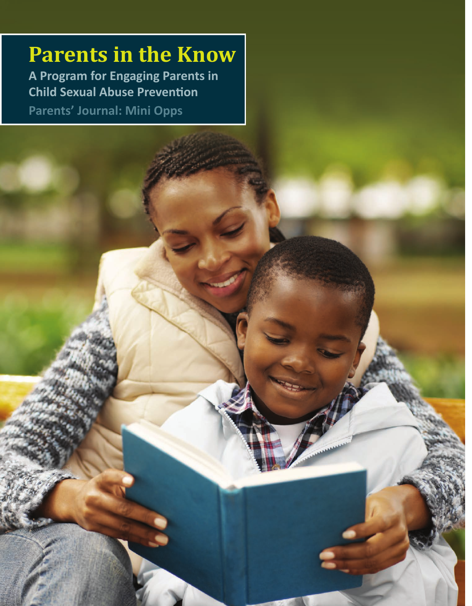## **Parents in the Know**

**A Program for Engaging Parents in Child Sexual Abuse Prevention**

**Parents' Journal: Mini Opps**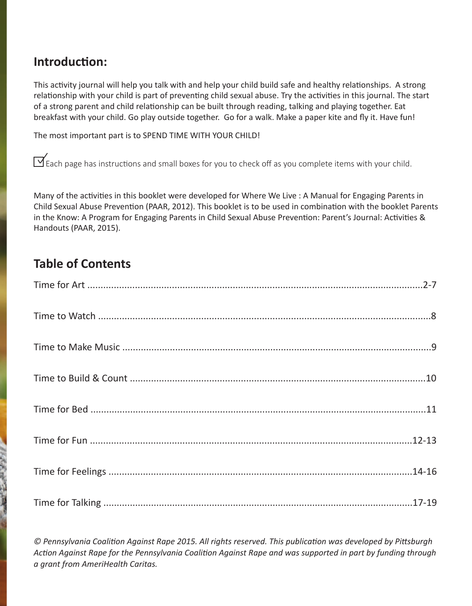## **Introduction:**

This activity journal will help you talk with and help your child build safe and healthy relationships. A strong relationship with your child is part of preventing child sexual abuse. Try the activities in this journal. The start of a strong parent and child relationship can be built through reading, talking and playing together. Eat breakfast with your child. Go play outside together. Go for a walk. Make a paper kite and fly it. Have fun!

The most important part is to SPEND TIME WITH YOUR CHILD!

 $\Box$  Each page has instructions and small boxes for you to check off as you complete items with your child.

Many of the activities in this booklet were developed for Where We Live : A Manual for Engaging Parents in Child Sexual Abuse Prevention (PAAR, 2012). This booklet is to be used in combination with the booklet Parents in the Know: A Program for Engaging Parents in Child Sexual Abuse Prevention: Parent's Journal: Activities & Handouts (PAAR, 2015).

## **Table of Contents**

*© Pennsylvania Coalition Against Rape 2015. All rights reserved. This publication was developed by Pittsburgh Action Against Rape for the Pennsylvania Coalition Against Rape and was supported in part by funding through a grant from AmeriHealth Caritas.*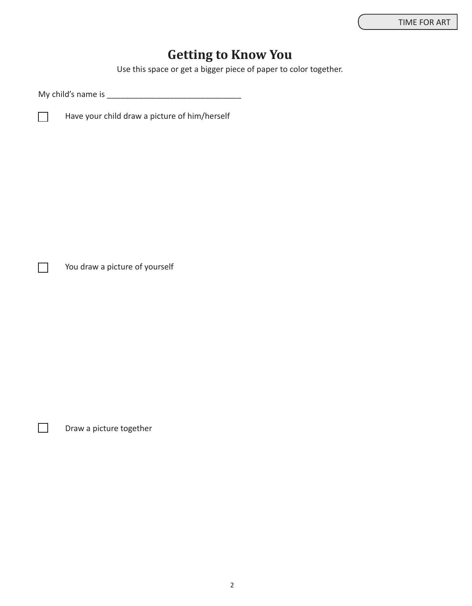## **Getting to Know You**

Use this space or get a bigger piece of paper to color together.

My child's name is \_\_\_\_\_\_\_\_\_\_\_\_\_\_\_\_\_\_\_\_\_\_\_\_\_\_\_\_\_\_

 $\Box$ 

 $\Box$ 

 $\Box$ 

Have your child draw a picture of him/herself

You draw a picture of yourself

Draw a picture together